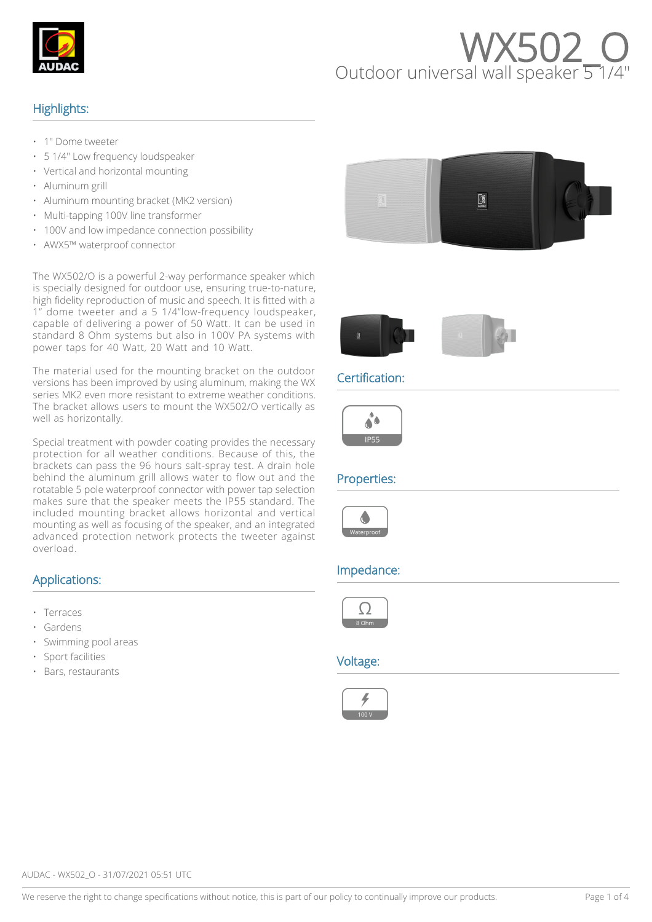

# WX502<br>Outdoor universal wall speaker 5

#### Highlights:

- 1" Dome tweeter
- 5 1/4" Low frequency loudspeaker
- Vertical and horizontal mounting
- Aluminum grill
- Aluminum mounting bracket (MK2 version)
- Multi-tapping 100V line transformer
- 100V and low impedance connection possibility
- AWX5™ waterproof connector

The WX502/O is a powerful 2-way performance speaker which is specially designed for outdoor use, ensuring true-to-nature, high fidelity reproduction of music and speech. It is fitted with a 1" dome tweeter and a 5 1/4"low-frequency loudspeaker, capable of delivering a power of 50 Watt. It can be used in standard 8 Ohm systems but also in 100V PA systems with power taps for 40 Watt, 20 Watt and 10 Watt.

The material used for the mounting bracket on the outdoor versions has been improved by using aluminum, making the WX series MK2 even more resistant to extreme weather conditions. The bracket allows users to mount the WX502/O vertically as well as horizontally.

Special treatment with powder coating provides the necessary protection for all weather conditions. Because of this, the brackets can pass the 96 hours salt-spray test. A drain hole behind the aluminum grill allows water to flow out and the rotatable 5 pole waterproof connector with power tap selection makes sure that the speaker meets the IP55 standard. The included mounting bracket allows horizontal and vertical mounting as well as focusing of the speaker, and an integrated advanced protection network protects the tweeter against overload.

#### Applications:

- Terraces
- **Gardens**
- Swimming pool areas
- Sport facilities
- Bars, restaurants





### Certification:



#### Properties:



#### Impedance:



#### Voltage:

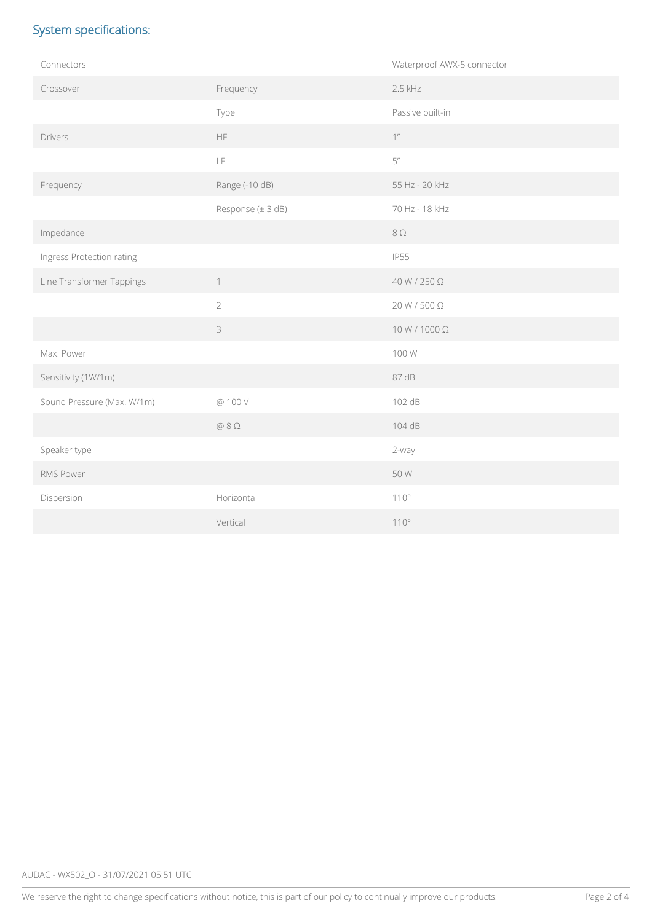# System specifications:

| Connectors                 |                   | Waterproof AWX-5 connector |  |
|----------------------------|-------------------|----------------------------|--|
| Crossover                  | Frequency         | $2.5$ kHz                  |  |
|                            | Type              | Passive built-in           |  |
| Drivers                    | <b>HF</b>         | $1$                        |  |
|                            | LF                | 5''                        |  |
| Frequency                  | Range (-10 dB)    | 55 Hz - 20 kHz             |  |
|                            | Response (± 3 dB) | 70 Hz - 18 kHz             |  |
| Impedance                  |                   | $8\Omega$                  |  |
| Ingress Protection rating  |                   | <b>IP55</b>                |  |
| Line Transformer Tappings  | $\uparrow$        | 40 W / 250 Ω               |  |
|                            | $\overline{2}$    | 20 W / 500 Ω               |  |
|                            | 3                 | $10 W/1000 \Omega$         |  |
| Max. Power                 |                   | 100 W                      |  |
| Sensitivity (1W/1m)        |                   | 87 dB                      |  |
| Sound Pressure (Max. W/1m) | @ 100 V           | 102 dB                     |  |
|                            | $@8\Omega$        | 104 dB                     |  |
| Speaker type               |                   | 2-way                      |  |
| RMS Power                  |                   | 50 W                       |  |
| Dispersion                 | Horizontal        | 110°                       |  |
|                            | Vertical          | $110^{\circ}$              |  |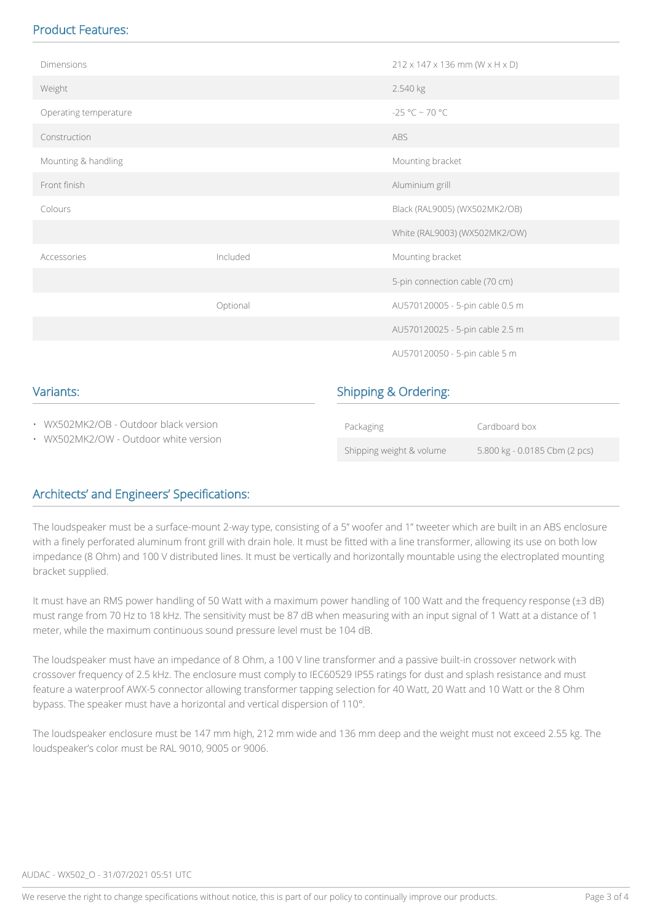# Product Features:

| Dimensions                                                                     |          |                                 | $212 \times 147 \times 136$ mm (W $\times$ H $\times$ D) |  |
|--------------------------------------------------------------------------------|----------|---------------------------------|----------------------------------------------------------|--|
| Weight                                                                         |          | 2.540 kg                        |                                                          |  |
| Operating temperature                                                          |          | $-25 °C \sim 70 °C$             |                                                          |  |
| Construction                                                                   |          | ABS                             |                                                          |  |
| Mounting & handling                                                            |          |                                 | Mounting bracket                                         |  |
| Front finish                                                                   |          | Aluminium grill                 |                                                          |  |
| Colours                                                                        |          |                                 | Black (RAL9005) (WX502MK2/OB)                            |  |
|                                                                                |          |                                 | White (RAL9003) (WX502MK2/OW)                            |  |
| Accessories                                                                    | Included |                                 | Mounting bracket                                         |  |
|                                                                                |          |                                 | 5-pin connection cable (70 cm)                           |  |
|                                                                                | Optional |                                 | AU570120005 - 5-pin cable 0.5 m                          |  |
|                                                                                |          |                                 | AU570120025 - 5-pin cable 2.5 m                          |  |
|                                                                                |          |                                 | AU570120050 - 5-pin cable 5 m                            |  |
| Variants:                                                                      |          | <b>Shipping &amp; Ordering:</b> |                                                          |  |
| • WX502MK2/OB - Outdoor black version<br>• WX502MK2/OW - Outdoor white version |          | Packaging                       | Cardboard box                                            |  |
|                                                                                |          | Shipping weight & volume        | 5.800 kg - 0.0185 Cbm (2 pcs)                            |  |

# Architects' and Engineers' Specifications:

The loudspeaker must be a surface-mount 2-way type, consisting of a 5" woofer and 1" tweeter which are built in an ABS enclosure with a finely perforated aluminum front grill with drain hole. It must be fitted with a line transformer, allowing its use on both low impedance (8 Ohm) and 100 V distributed lines. It must be vertically and horizontally mountable using the electroplated mounting bracket supplied.

It must have an RMS power handling of 50 Watt with a maximum power handling of 100 Watt and the frequency response (±3 dB) must range from 70 Hz to 18 kHz. The sensitivity must be 87 dB when measuring with an input signal of 1 Watt at a distance of 1 meter, while the maximum continuous sound pressure level must be 104 dB.

The loudspeaker must have an impedance of 8 Ohm, a 100 V line transformer and a passive built-in crossover network with crossover frequency of 2.5 kHz. The enclosure must comply to IEC60529 IP55 ratings for dust and splash resistance and must feature a waterproof AWX-5 connector allowing transformer tapping selection for 40 Watt, 20 Watt and 10 Watt or the 8 Ohm bypass. The speaker must have a horizontal and vertical dispersion of 110°.

The loudspeaker enclosure must be 147 mm high, 212 mm wide and 136 mm deep and the weight must not exceed 2.55 kg. The loudspeaker's color must be RAL 9010, 9005 or 9006.